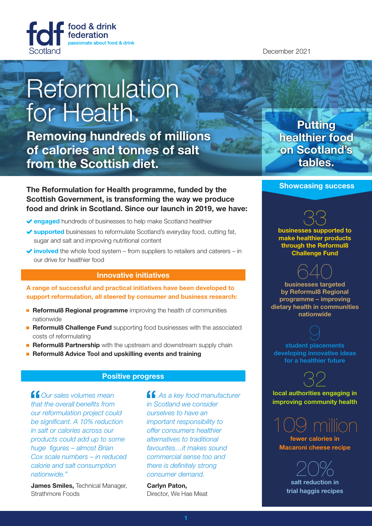

December 2021

# Reformulation for Health.

**Removing hundreds of millions of calories and tonnes of salt from the Scottish diet.**

**The Reformulation for Health programme, funded by the Scottish Government, is transforming the way we produce food and drink in Scotland. Since our launch in 2019, we have:**

- **engaged** hundreds of businesses to help make Scotland healthier
- ◆ **supported** businesses to reformulate Scotland's everyday food, cutting fat, sugar and salt and improving nutritional content
- ◆ **involved** the whole food system from suppliers to retailers and caterers in our drive for healthier food

### **Innovative initiatives**

**A range of successful and practical initiatives have been developed to support reformulation, all steered by consumer and business research:** 

- **Reformul8 Regional programme** improving the health of communities nationwide
- **Reformul8 Challenge Fund** supporting food businesses with the associated costs of reformulating
- **Reformul8 Partnership** with the upstream and downstream supply chain
- **Reformul8 Advice Tool and upskilling events and training**

# **Positive progress**

 *Our sales volumes mean that the overall benefits from our reformulation project could be significant. A 10% reduction in salt or calories across our products could add up to some huge figures – almost Brian Cox scale numbers – in reduced calorie and salt consumption nationwide."*

**James Smiles,** Technical Manager, Strathmore Foods

 *As a key food manufacturer in Scotland we consider ourselves to have an important responsibility to offer consumers healthier alternatives to traditional favourites…it makes sound commercial sense too and there is definitely strong consumer demand.*

**Carlyn Paton,**  Director, We Hae Meat

**Putting healthier food on Scotland's tables.**

#### **Showcasing success**

33 **businesses supported to make healthier products through the Reformul8 Challenge Fund**

640 **businesses targeted by Reformul8 Regional programme – improving dietary health in communities nationwide**

**student placements developing innovative ideas for a healthier future** 

32 **local authorities engaging in improving community health**



**Macaroni cheese recipe**

20% **salt reduction in trial haggis recipes**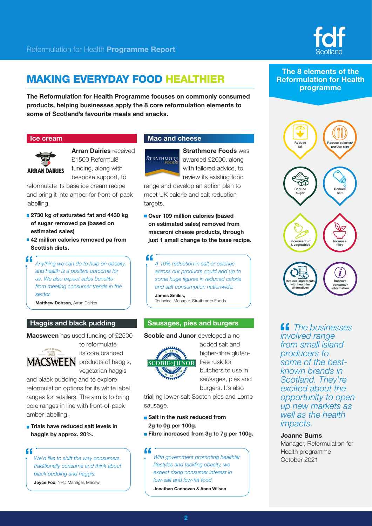# MAKING EVERYDAY FOOD HEALTHIER

**The Reformulation for Health Programme focuses on commonly consumed products, helping businesses apply the 8 core reformulation elements to some of Scotland's favourite meals and snacks.**

## **Ice cream**



**Arran Dairies** received £1500 Reformul8 funding, along with bespoke support, to

reformulate its base ice cream recipe and bring it into amber for front-of-pack labelling.

- **2730 kg of saturated fat and 4430 kg of sugar removed pa (based on estimated sales)**
- 42 million calories removed pa from **Scottish diets.**

 $\epsilon$ *Anything we can do to help on obesity and health is a positive outcome for us. We also expect sales benefits from meeting consumer trends in the sector.*

**Matthew Dobson,** Arran Dairies

# **Haggis and black pudding**

**Macsween** has used funding of £2500



to reformulate its core branded **MACSWEEN** products of haggis, vegetarian haggis

and black pudding and to explore reformulation options for its white label ranges for retailers. The aim is to bring core ranges in line with front-of-pack amber labelling.

**Trials have reduced salt levels in haggis by approx. 20%.** 

# $66$

*We'd like to shift the way consumers traditionally consume and think about black pudding and haggis.*

**Joyce Fox**, NPD Manager, Macsw

# **Mac and cheese**



**Strathmore Foods** was awarded £2000, along with tailored advice, to review its existing food

range and develop an action plan to meet UK calorie and salt reduction targets.

**Over 109 million calories (based on estimated sales) removed from macaroni cheese products, through just 1 small change to the base recipe.**

 $\epsilon$ *A 10% reduction in salt or calories across our products could add up to some huge figures in reduced calorie and salt consumption nationwide.*

**James Smiles,**  Technical Manager, Strathmore Foods

#### **Sausages, pies and burgers**

## **Scobie and Junor** developed a no



added salt and higher-fibre glutenfree rusk for butchers to use in sausages, pies and burgers. It's also

trialling lower-salt Scotch pies and Lorne sausage.

■ Salt in the rusk reduced from **2g to 0g per 100g.**

**Fibre increased from 3g to 7g per 100g.** 

#### "

*With government promoting healthier lifestyles and tackling obesity, we expect rising consumer interest in low-salt and low-fat food.* 

**Jonathan Cannovan & Anna Wilson**

# **The 8 elements of the Reformulation for Health programme**



 *The businesses involved range from small island producers to some of the bestknown brands in Scotland. They're excited about the opportunity to open up new markets as well as the health impacts.*

#### **Joanne Burns**

Manager, Reformulation for Health programme October 2021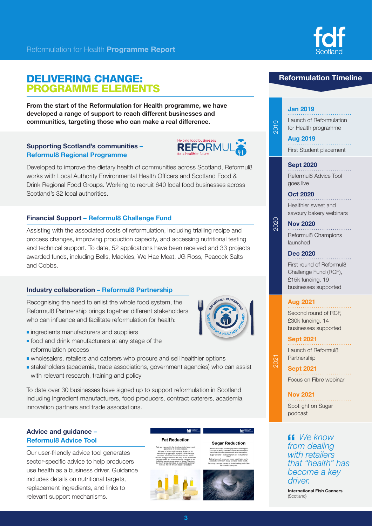

# DELIVERING CHANGE: PROGRAMME ELEMENTS

**From the start of the Reformulation for Health programme, we have developed a range of support to reach different businesses and communities, targeting those who can make a real difference.**

# **Supporting Scotland's communities – Reformul8 Regional Programme**



Developed to improve the dietary health of communities across Scotland, Reformul8 works with Local Authority Environmental Health Officers and Scotland Food & Drink Regional Food Groups. Working to recruit 640 local food businesses across Scotland's 32 local authorities.

# **Financial Support – Reformul8 Challenge Fund**

Assisting with the associated costs of reformulation, including trialling recipe and process changes, improving production capacity, and accessing nutritional testing and technical support. To date, 52 applications have been received and 33 projects awarded funds, including Bells, Mackies, We Hae Meat, JG Ross, Peacock Salts and Cobbs.

#### **Industry collaboration – Reformul8 Partnership**

Recognising the need to enlist the whole food system, the Reformul8 Partnership brings together different stakeholders who can influence and facilitate reformulation for health:

- **n** ingredients manufacturers and suppliers
- **food and drink manufacturers at any stage of the** reformulation process
- wholesalers, retailers and caterers who procure and sell healthier options
- stakeholders (academia, trade associations, government agencies) who can assist with relevant research, training and policy

To date over 30 businesses have signed up to support reformulation in Scotland including ingredient manufacturers, food producers, contract caterers, academia, innovation partners and trade associations.

# **Advice and guidance – Reformul8 Advice Tool**

Our user-friendly advice tool generates sector-specific advice to help producers use health as a business driver. Guidance includes details on nutritional targets, replacement ingredients, and links to relevant support mechanisms.

#### **Fat Reduction**



 $f$  $\epsilon$ 



#### **Sugar Reduction** Almost 90% of the Scottish population is eating too<br>much sugar and on average, consumers are eating<br>more than haice the growmment recommendation. als per gram and

**<sup>R</sup>EFORMUL<sup>8</sup> <sup>P</sup>ARTNERSH<sup>I</sup><sup>P</sup>**

**REAL PROPERTY AND REAL PROPERTY** 

felf tout one



# **Reformulation Timeline**

### **Jan 2019**

2019

2020

2021

Launch of Reformulation for Health programme

**Aug 2019**

First Student placement

#### **Sept 2020**

Reformul8 Advice Tool goes live

#### **Oct 2020**

Healthier sweet and savoury bakery webinars

#### **Nov 2020**

Reformul8 Champions launched

#### **Dec 2020**

First round of Reformul8 Challenge Fund (RCF), £15k funding, 19 businesses supported

## **Aug 2021**

Second round of RCF, £30k funding, 14 businesses supported

#### **Sept 2021**

Launch of Reformul8 Partnership

**Sept 2021** Focus on Fibre webinar

#### **Nov 2021**

Spotlight on Sugar podcast

 *We know from dealing with retailers that "health" has become a key driver.*

**International Fish Canners**  (Scotland)